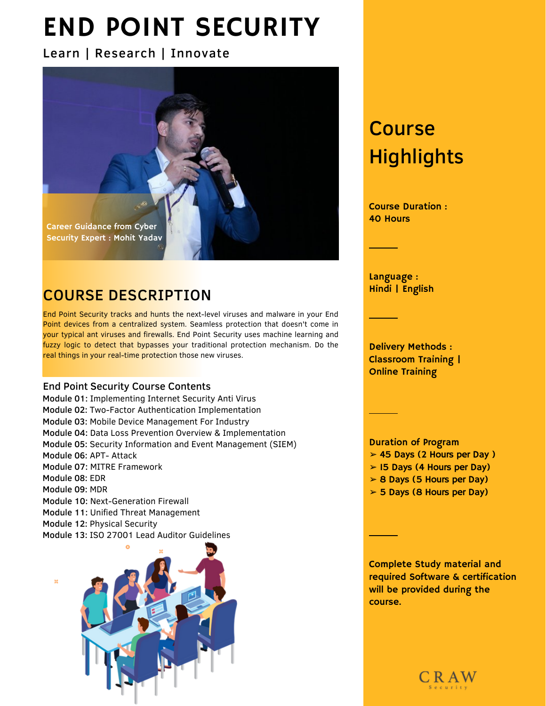# END POINT SECURITY

### Learn | Research | Innovate



## COURSE DESCRIPTION

End Point Security tracks and hunts the next-level viruses and malware in your End Point devices from a centralized system. Seamless protection that doesn't come in your typical ant viruses and firewalls. End Point Security uses machine learning and fuzzy logic to detect that bypasses your traditional protection mechanism. Do the real things in your real-time protection those new viruses.

### End Point Security Course Contents

- Module 01: Implementing Internet Security Anti Virus Module 02: Two-Factor Authentication Implementation Module 03: Mobile Device Management For Industry Module 04: Data Loss Prevention Overview & Implementation Module 05: Security Information and Event Management (SIEM) Module 06: APT- Attack Module 07: MITRE Framework Module 08: EDR Module 09: MDR Module 10: Next-Generation Firewall Module 11: Unified Threat Management Module 12: Physical Security
- Module 13: ISO 27001 Lead Auditor Guidelines



## Course **Highlights**

Course Duration : 40 Hours

Language : Hindi | English

Delivery Methods : Classroom Training | Online Training

Duration of Program

- ➢ 45 Days (2 Hours per Day )
- ➢ 15 Days (4 Hours per Day)
- $> 8$  Days (5 Hours per Day)
- ➢ 5 Days (8 Hours per Day)

Complete Study material and required Software & certification will be provided during the course.